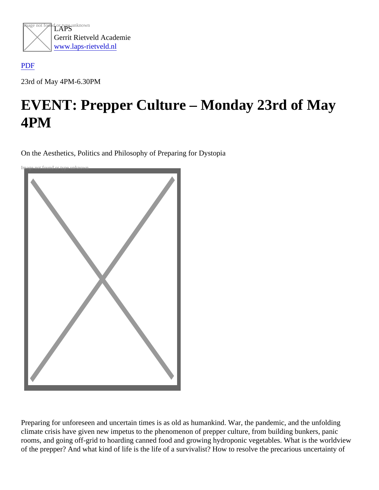

## [PDF](/web/sites/laps-rietveld.nl/www/wp-content/plugins/press-to-pdf/../../../wp-content/plugins/press-to-pdf/)

23rd of May 4PM-6.30PM

## EVENT: Prepper Culture – Monday 23rd of May 4PM

On the Aesthetics, Politics and Philosophy of Preparing for Dystopia



Preparing for unforeseen and uncertain times is as old as humankind. War, the pandemic, and the unfolding climate crisis have given new impetus to the phenomenon of prepper culture, from building bunkers, panic rooms, and going off-grid to hoarding canned food and growing hydroponic vegetables. What is the worldview of the prepper? And what kind of life is the life of a survivalist? How to resolve the precarious uncertainty of